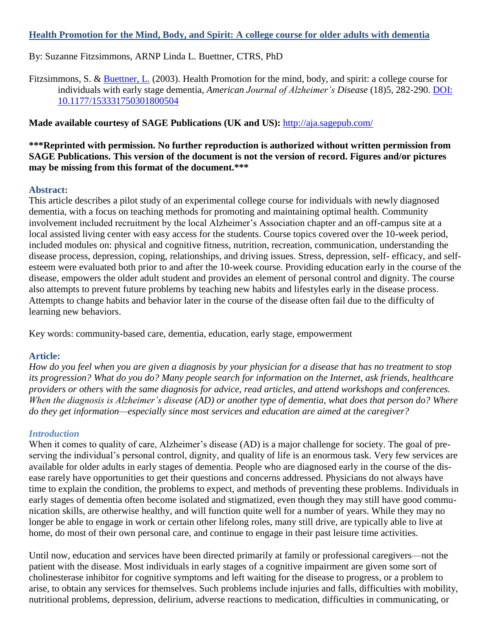### **Health Promotion for the Mind, Body, and Spirit: A college course for older adults with dementia**

By: Suzanne Fitzsimmons, ARNP Linda L. Buettner, CTRS, PhD

Fitzsimmons, S. & [Buettner, L.](http://libres.uncg.edu/ir/uncg/clist.aspx?id=1550) (2003). Health Promotion for the mind, body, and spirit: a college course for individuals with early stage dementia, *American Journal of Alzheimer's Disease* (18)5, 282-290. [DOI:](http://dx.doi.org/10.1177/153331750301800504)  [10.1177/153331750301800504](http://dx.doi.org/10.1177/153331750301800504)

**Made available courtesy of SAGE Publications (UK and US):** <http://aja.sagepub.com/>

## **\*\*\*Reprinted with permission. No further reproduction is authorized without written permission from SAGE Publications. This version of the document is not the version of record. Figures and/or pictures may be missing from this format of the document.\*\*\***

### **Abstract:**

This article describes a pilot study of an experimental college course for individuals with newly diagnosed dementia, with a focus on teaching methods for promoting and maintaining optimal health. Community involvement included recruitment by the local Alzheimer's Association chapter and an off-campus site at a local assisted living center with easy access for the students. Course topics covered over the 10-week period, included modules on: physical and cognitive fitness, nutrition, recreation, communication, understanding the disease process, depression, coping, relationships, and driving issues. Stress, depression, self- efficacy, and selfesteem were evaluated both prior to and after the 10-week course. Providing education early in the course of the disease, empowers the older adult student and provides an element of personal control and dignity. The course also attempts to prevent future problems by teaching new habits and lifestyles early in the disease process. Attempts to change habits and behavior later in the course of the disease often fail due to the difficulty of learning new behaviors.

Key words: community-based care, dementia, education, early stage, empowerment

## **Article:**

*How do you feel when you are given a diagnosis by your physician for a disease that has no treatment to stop its progression? What do you do? Many people search for information on the Internet, ask friends, healthcare providers or others with the same diagnosis for advice, read articles, and attend workshops and conferences. When the diagnosis is Alzheimer's disease (AD) or another type of dementia, what does that person do? Where do they get information—especially since most services and education are aimed at the caregiver?*

### *Introduction*

When it comes to quality of care, Alzheimer's disease (AD) is a major challenge for society. The goal of preserving the individual's personal control, dignity, and quality of life is an enormous task. Very few services are available for older adults in early stages of dementia. People who are diagnosed early in the course of the disease rarely have opportunities to get their questions and concerns addressed. Physicians do not always have time to explain the condition, the problems to expect, and methods of preventing these problems. Individuals in early stages of dementia often become isolated and stigmatized, even though they may still have good communication skills, are otherwise healthy, and will function quite well for a number of years. While they may no longer be able to engage in work or certain other lifelong roles, many still drive, are typically able to live at home, do most of their own personal care, and continue to engage in their past leisure time activities.

Until now, education and services have been directed primarily at family or professional caregivers—not the patient with the disease. Most individuals in early stages of a cognitive impairment are given some sort of cholinesterase inhibitor for cognitive symptoms and left waiting for the disease to progress, or a problem to arise, to obtain any services for themselves. Such problems include injuries and falls, difficulties with mobility, nutritional problems, depression, delirium, adverse reactions to medication, difficulties in communicating, or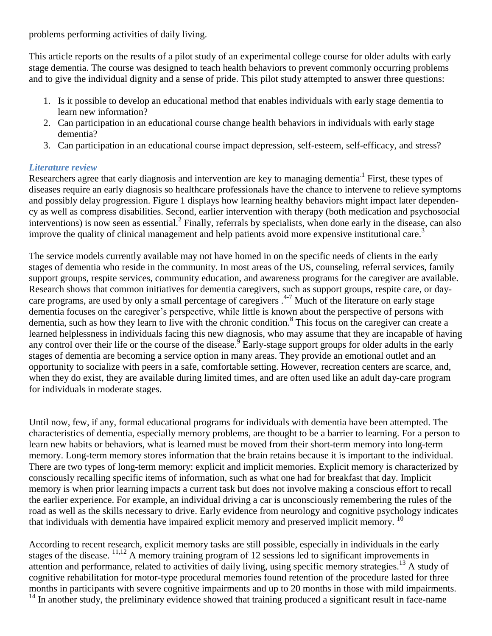problems performing activities of daily living.

This article reports on the results of a pilot study of an experimental college course for older adults with early stage dementia. The course was designed to teach health behaviors to prevent commonly occurring problems and to give the individual dignity and a sense of pride. This pilot study attempted to answer three questions:

- 1. Is it possible to develop an educational method that enables individuals with early stage dementia to learn new information?
- 2. Can participation in an educational course change health behaviors in individuals with early stage dementia?
- 3. Can participation in an educational course impact depression, self-esteem, self-efficacy, and stress?

## *Literature review*

Researchers agree that early diagnosis and intervention are key to managing dementia<sup>1</sup> First, these types of diseases require an early diagnosis so healthcare professionals have the chance to intervene to relieve symptoms and possibly delay progression. Figure 1 displays how learning healthy behaviors might impact later dependency as well as compress disabilities. Second, earlier intervention with therapy (both medication and psychosocial interventions) is now seen as essential.<sup>2</sup> Finally, referrals by specialists, when done early in the disease, can also improve the quality of clinical management and help patients avoid more expensive institutional care.<sup>3</sup>

The service models currently available may not have homed in on the specific needs of clients in the early stages of dementia who reside in the community. In most areas of the US, counseling, referral services, family support groups, respite services, community education, and awareness programs for the caregiver are available. Research shows that common initiatives for dementia caregivers, such as support groups, respite care, or daycare programs, are used by only a small percentage of caregivers,  $4-7$  Much of the literature on early stage dementia focuses on the caregiver"s perspective, while little is known about the perspective of persons with dementia, such as how they learn to live with the chronic condition.<sup>8</sup> This focus on the caregiver can create a learned helplessness in individuals facing this new diagnosis, who may assume that they are incapable of having any control over their life or the course of the disease.  $\frac{9}{2}$  Early-stage support groups for older adults in the early stages of dementia are becoming a service option in many areas. They provide an emotional outlet and an opportunity to socialize with peers in a safe, comfortable setting. However, recreation centers are scarce, and, when they do exist, they are available during limited times, and are often used like an adult day-care program for individuals in moderate stages.

Until now, few, if any, formal educational programs for individuals with dementia have been attempted. The characteristics of dementia, especially memory problems, are thought to be a barrier to learning. For a person to learn new habits or behaviors, what is learned must be moved from their short-term memory into long-term memory. Long-term memory stores information that the brain retains because it is important to the individual. There are two types of long-term memory: explicit and implicit memories. Explicit memory is characterized by consciously recalling specific items of information, such as what one had for breakfast that day. Implicit memory is when prior learning impacts a current task but does not involve making a conscious effort to recall the earlier experience. For example, an individual driving a car is unconsciously remembering the rules of the road as well as the skills necessary to drive. Early evidence from neurology and cognitive psychology indicates that individuals with dementia have impaired explicit memory and preserved implicit memory.  $^{10}$ 

According to recent research, explicit memory tasks are still possible, especially in individuals in the early stages of the disease. <sup>11,12</sup> A memory training program of 12 sessions led to significant improvements in attention and performance, related to activities of daily living, using specific memory strategies.<sup>13</sup> A study of cognitive rehabilitation for motor-type procedural memories found retention of the procedure lasted for three months in participants with severe cognitive impairments and up to 20 months in those with mild impairments. <sup>14</sup> In another study, the preliminary evidence showed that training produced a significant result in face-name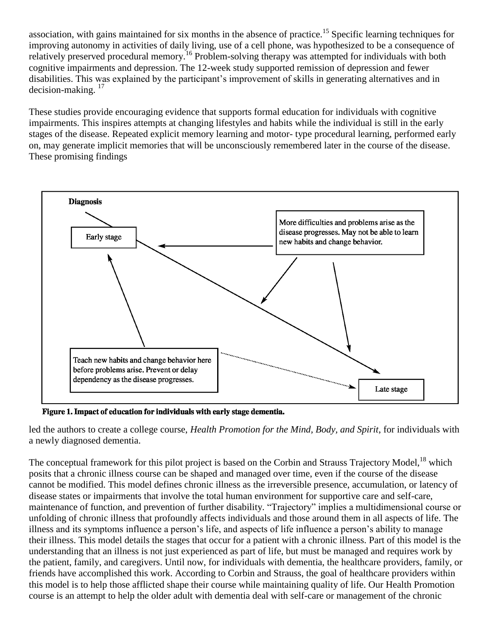association, with gains maintained for six months in the absence of practice.<sup>15</sup> Specific learning techniques for improving autonomy in activities of daily living, use of a cell phone, was hypothesized to be a consequence of relatively preserved procedural memory.<sup>16</sup> Problem-solving therapy was attempted for individuals with both cognitive impairments and depression. The 12-week study supported remission of depression and fewer disabilities. This was explained by the participant's improvement of skills in generating alternatives and in decision-making.<sup>17</sup>

These studies provide encouraging evidence that supports formal education for individuals with cognitive impairments. This inspires attempts at changing lifestyles and habits while the individual is still in the early stages of the disease. Repeated explicit memory learning and motor- type procedural learning, performed early on, may generate implicit memories that will be unconsciously remembered later in the course of the disease. These promising findings



Figure 1. Impact of education for individuals with early stage dementia.

led the authors to create a college course, *Health Promotion for the Mind, Body, and Spirit*, for individuals with a newly diagnosed dementia.

The conceptual framework for this pilot project is based on the Corbin and Strauss Trajectory Model,<sup>18</sup> which posits that a chronic illness course can be shaped and managed over time, even if the course of the disease cannot be modified. This model defines chronic illness as the irreversible presence, accumulation, or latency of disease states or impairments that involve the total human environment for supportive care and self-care, maintenance of function, and prevention of further disability. "Trajectory" implies a multidimensional course or unfolding of chronic illness that profoundly affects individuals and those around them in all aspects of life. The illness and its symptoms influence a person"s life, and aspects of life influence a person"s ability to manage their illness. This model details the stages that occur for a patient with a chronic illness. Part of this model is the understanding that an illness is not just experienced as part of life, but must be managed and requires work by the patient, family, and caregivers. Until now, for individuals with dementia, the healthcare providers, family, or friends have accomplished this work. According to Corbin and Strauss, the goal of healthcare providers within this model is to help those afflicted shape their course while maintaining quality of life. Our Health Promotion course is an attempt to help the older adult with dementia deal with self-care or management of the chronic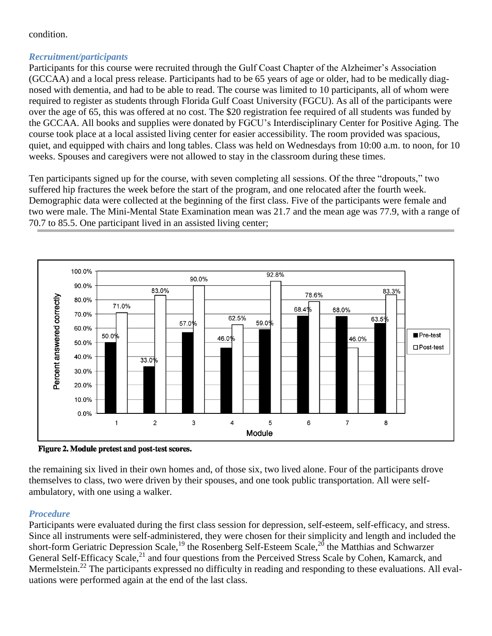## condition.

## *Recruitment/participants*

Participants for this course were recruited through the Gulf Coast Chapter of the Alzheimer's Association (GCCAA) and a local press release. Participants had to be 65 years of age or older, had to be medically diagnosed with dementia, and had to be able to read. The course was limited to 10 participants, all of whom were required to register as students through Florida Gulf Coast University (FGCU). As all of the participants were over the age of 65, this was offered at no cost. The \$20 registration fee required of all students was funded by the GCCAA. All books and supplies were donated by FGCU"s Interdisciplinary Center for Positive Aging. The course took place at a local assisted living center for easier accessibility. The room provided was spacious, quiet, and equipped with chairs and long tables. Class was held on Wednesdays from 10:00 a.m. to noon, for 10 weeks. Spouses and caregivers were not allowed to stay in the classroom during these times.

Ten participants signed up for the course, with seven completing all sessions. Of the three "dropouts," two suffered hip fractures the week before the start of the program, and one relocated after the fourth week. Demographic data were collected at the beginning of the first class. Five of the participants were female and two were male. The Mini-Mental State Examination mean was 21.7 and the mean age was 77.9, with a range of 70.7 to 85.5. One participant lived in an assisted living center;



Figure 2. Module pretest and post-test scores.

the remaining six lived in their own homes and, of those six, two lived alone. Four of the participants drove themselves to class, two were driven by their spouses, and one took public transportation. All were selfambulatory, with one using a walker.

# *Procedure*

Participants were evaluated during the first class session for depression, self-esteem, self-efficacy, and stress. Since all instruments were self-administered, they were chosen for their simplicity and length and included the short-form Geriatric Depression Scale,<sup>19</sup> the Rosenberg Self-Esteem Scale,<sup>20</sup> the Matthias and Schwarzer General Self-Efficacy Scale,<sup>21</sup> and four questions from the Perceived Stress Scale by Cohen, Kamarck, and Mermelstein.<sup>22</sup> The participants expressed no difficulty in reading and responding to these evaluations. All evaluations were performed again at the end of the last class.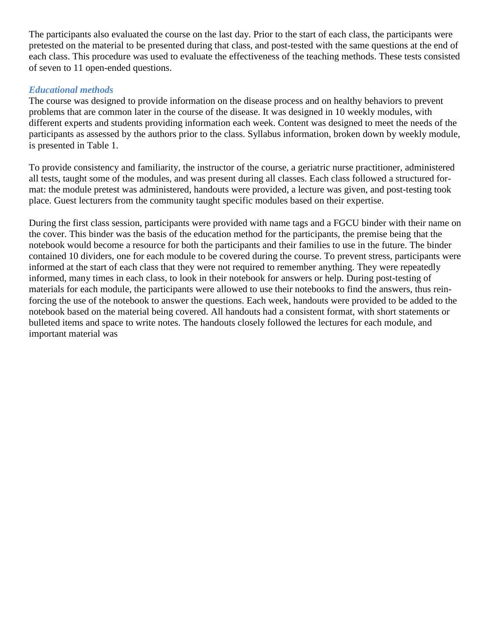The participants also evaluated the course on the last day. Prior to the start of each class, the participants were pretested on the material to be presented during that class, and post-tested with the same questions at the end of each class. This procedure was used to evaluate the effectiveness of the teaching methods. These tests consisted of seven to 11 open-ended questions.

## *Educational methods*

The course was designed to provide information on the disease process and on healthy behaviors to prevent problems that are common later in the course of the disease. It was designed in 10 weekly modules, with different experts and students providing information each week. Content was designed to meet the needs of the participants as assessed by the authors prior to the class. Syllabus information, broken down by weekly module, is presented in Table 1.

To provide consistency and familiarity, the instructor of the course, a geriatric nurse practitioner, administered all tests, taught some of the modules, and was present during all classes. Each class followed a structured format: the module pretest was administered, handouts were provided, a lecture was given, and post-testing took place. Guest lecturers from the community taught specific modules based on their expertise.

During the first class session, participants were provided with name tags and a FGCU binder with their name on the cover. This binder was the basis of the education method for the participants, the premise being that the notebook would become a resource for both the participants and their families to use in the future. The binder contained 10 dividers, one for each module to be covered during the course. To prevent stress, participants were informed at the start of each class that they were not required to remember anything. They were repeatedly informed, many times in each class, to look in their notebook for answers or help. During post-testing of materials for each module, the participants were allowed to use their notebooks to find the answers, thus reinforcing the use of the notebook to answer the questions. Each week, handouts were provided to be added to the notebook based on the material being covered. All handouts had a consistent format, with short statements or bulleted items and space to write notes. The handouts closely followed the lectures for each module, and important material was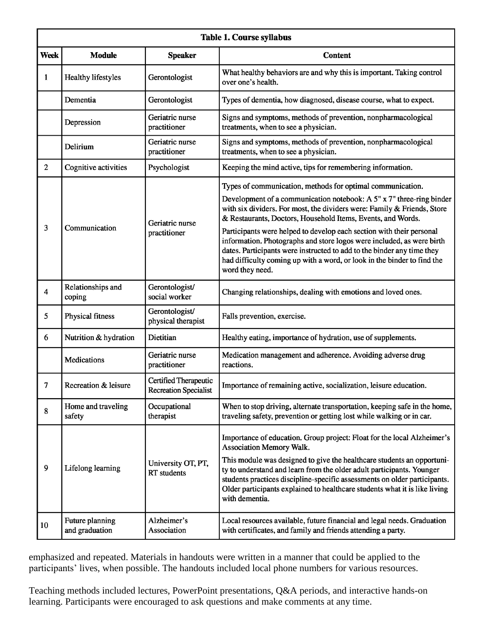| <b>Table 1. Course syllabus</b> |                                   |                                                              |                                                                                                                                                                                                                                                                                                                                                                                                                                                                                                                                                                                                       |  |
|---------------------------------|-----------------------------------|--------------------------------------------------------------|-------------------------------------------------------------------------------------------------------------------------------------------------------------------------------------------------------------------------------------------------------------------------------------------------------------------------------------------------------------------------------------------------------------------------------------------------------------------------------------------------------------------------------------------------------------------------------------------------------|--|
| <b>Week</b>                     | <b>Module</b>                     | <b>Speaker</b>                                               | <b>Content</b>                                                                                                                                                                                                                                                                                                                                                                                                                                                                                                                                                                                        |  |
| 1                               | Healthy lifestyles                | Gerontologist                                                | What healthy behaviors are and why this is important. Taking control<br>over one's health.                                                                                                                                                                                                                                                                                                                                                                                                                                                                                                            |  |
|                                 | Dementia                          | Gerontologist                                                | Types of dementia, how diagnosed, disease course, what to expect.                                                                                                                                                                                                                                                                                                                                                                                                                                                                                                                                     |  |
|                                 | Depression                        | Geriatric nurse<br>practitioner                              | Signs and symptoms, methods of prevention, nonpharmacological<br>treatments, when to see a physician.                                                                                                                                                                                                                                                                                                                                                                                                                                                                                                 |  |
|                                 | Delirium                          | Geriatric nurse<br>practitioner                              | Signs and symptoms, methods of prevention, nonpharmacological<br>treatments, when to see a physician.                                                                                                                                                                                                                                                                                                                                                                                                                                                                                                 |  |
| $\overline{c}$                  | Cognitive activities              | Psychologist                                                 | Keeping the mind active, tips for remembering information.                                                                                                                                                                                                                                                                                                                                                                                                                                                                                                                                            |  |
| 3                               | Communication                     | Geriatric nurse<br>practitioner                              | Types of communication, methods for optimal communication.<br>Development of a communication notebook: A 5" x 7" three-ring binder<br>with six dividers. For most, the dividers were: Family & Friends, Store<br>& Restaurants, Doctors, Household Items, Events, and Words.<br>Participants were helped to develop each section with their personal<br>information. Photographs and store logos were included, as were birth<br>dates. Participants were instructed to add to the binder any time they<br>had difficulty coming up with a word, or look in the binder to find the<br>word they need. |  |
| 4                               | Relationships and<br>coping       | Gerontologist/<br>social worker                              | Changing relationships, dealing with emotions and loved ones.                                                                                                                                                                                                                                                                                                                                                                                                                                                                                                                                         |  |
| 5                               | Physical fitness                  | Gerontologist/<br>physical therapist                         | Falls prevention, exercise.                                                                                                                                                                                                                                                                                                                                                                                                                                                                                                                                                                           |  |
| 6                               | Nutrition & hydration             | Dietitian                                                    | Healthy eating, importance of hydration, use of supplements.                                                                                                                                                                                                                                                                                                                                                                                                                                                                                                                                          |  |
|                                 | <b>Medications</b>                | Geriatric nurse<br>practitioner                              | Medication management and adherence. Avoiding adverse drug<br>reactions.                                                                                                                                                                                                                                                                                                                                                                                                                                                                                                                              |  |
| 7                               | Recreation & leisure              | <b>Certified Therapeutic</b><br><b>Recreation Specialist</b> | Importance of remaining active, socialization, leisure education                                                                                                                                                                                                                                                                                                                                                                                                                                                                                                                                      |  |
| 8                               | Home and traveling<br>safety      | Occupational<br>therapist                                    | When to stop driving, alternate transportation, keeping safe in the home,<br>traveling safety, prevention or getting lost while walking or in car.                                                                                                                                                                                                                                                                                                                                                                                                                                                    |  |
| $\boldsymbol{9}$                | Lifelong learning                 | University OT, PT,<br>RT students                            | Importance of education. Group project: Float for the local Alzheimer's<br>Association Memory Walk.<br>This module was designed to give the healthcare students an opportuni-<br>ty to understand and learn from the older adult participants. Younger<br>students practices discipline-specific assessments on older participants.<br>Older participants explained to healthcare students what it is like living<br>with dementia.                                                                                                                                                                   |  |
| 10                              | Future planning<br>and graduation | Alzheimer's<br>Association                                   | Local resources available, future financial and legal needs. Graduation<br>with certificates, and family and friends attending a party.                                                                                                                                                                                                                                                                                                                                                                                                                                                               |  |

emphasized and repeated. Materials in handouts were written in a manner that could be applied to the participants' lives, when possible. The handouts included local phone numbers for various resources.

Teaching methods included lectures, PowerPoint presentations, Q&A periods, and interactive hands-on learning. Participants were encouraged to ask questions and make comments at any time.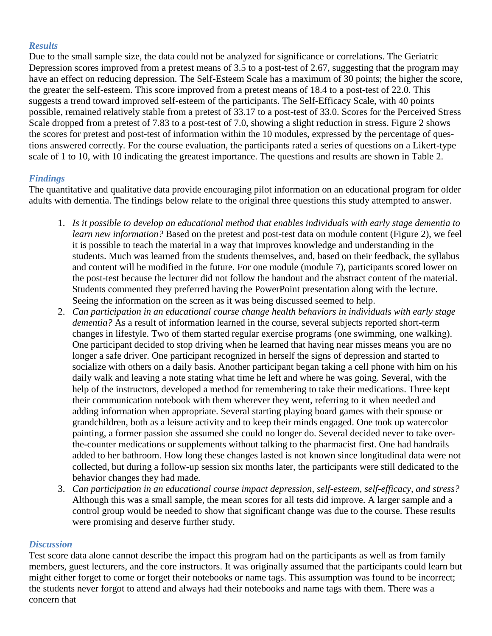### *Results*

Due to the small sample size, the data could not be analyzed for significance or correlations. The Geriatric Depression scores improved from a pretest means of 3.5 to a post-test of 2.67, suggesting that the program may have an effect on reducing depression. The Self-Esteem Scale has a maximum of 30 points; the higher the score, the greater the self-esteem. This score improved from a pretest means of 18.4 to a post-test of 22.0. This suggests a trend toward improved self-esteem of the participants. The Self-Efficacy Scale, with 40 points possible, remained relatively stable from a pretest of 33.17 to a post-test of 33.0. Scores for the Perceived Stress Scale dropped from a pretest of 7.83 to a post-test of 7.0, showing a slight reduction in stress. Figure 2 shows the scores for pretest and post-test of information within the 10 modules, expressed by the percentage of questions answered correctly. For the course evaluation, the participants rated a series of questions on a Likert-type scale of 1 to 10, with 10 indicating the greatest importance. The questions and results are shown in Table 2.

### *Findings*

The quantitative and qualitative data provide encouraging pilot information on an educational program for older adults with dementia. The findings below relate to the original three questions this study attempted to answer.

- 1. *Is it possible to develop an educational method that enables individuals with early stage dementia to learn new information?* Based on the pretest and post-test data on module content (Figure 2), we feel it is possible to teach the material in a way that improves knowledge and understanding in the students. Much was learned from the students themselves, and, based on their feedback, the syllabus and content will be modified in the future. For one module (module 7), participants scored lower on the post-test because the lecturer did not follow the handout and the abstract content of the material. Students commented they preferred having the PowerPoint presentation along with the lecture. Seeing the information on the screen as it was being discussed seemed to help.
- 2. *Can participation in an educational course change health behaviors in individuals with early stage dementia?* As a result of information learned in the course, several subjects reported short-term changes in lifestyle. Two of them started regular exercise programs (one swimming, one walking). One participant decided to stop driving when he learned that having near misses means you are no longer a safe driver. One participant recognized in herself the signs of depression and started to socialize with others on a daily basis. Another participant began taking a cell phone with him on his daily walk and leaving a note stating what time he left and where he was going. Several, with the help of the instructors, developed a method for remembering to take their medications. Three kept their communication notebook with them wherever they went, referring to it when needed and adding information when appropriate. Several starting playing board games with their spouse or grandchildren, both as a leisure activity and to keep their minds engaged. One took up watercolor painting, a former passion she assumed she could no longer do. Several decided never to take overthe-counter medications or supplements without talking to the pharmacist first. One had handrails added to her bathroom. How long these changes lasted is not known since longitudinal data were not collected, but during a follow-up session six months later, the participants were still dedicated to the behavior changes they had made.
- 3. *Can participation in an educational course impact depression, self-esteem, self-efficacy, and stress?* Although this was a small sample, the mean scores for all tests did improve. A larger sample and a control group would be needed to show that significant change was due to the course. These results were promising and deserve further study.

#### *Discussion*

Test score data alone cannot describe the impact this program had on the participants as well as from family members, guest lecturers, and the core instructors. It was originally assumed that the participants could learn but might either forget to come or forget their notebooks or name tags. This assumption was found to be incorrect; the students never forgot to attend and always had their notebooks and name tags with them. There was a concern that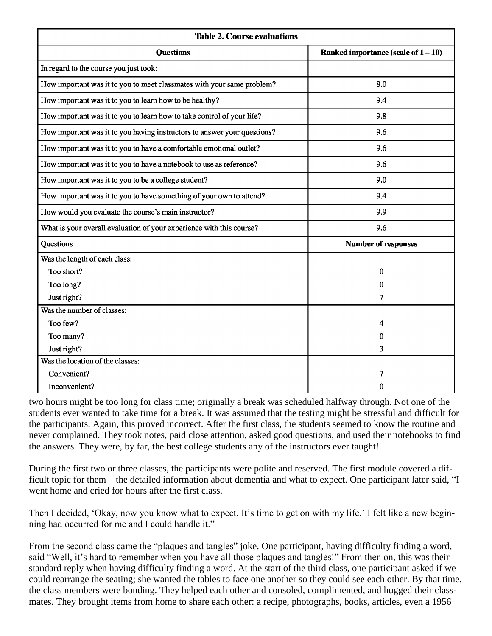| <b>Table 2. Course evaluations</b>                                       |                                        |  |  |  |
|--------------------------------------------------------------------------|----------------------------------------|--|--|--|
| <b>Questions</b>                                                         | Ranked importance (scale of $1 - 10$ ) |  |  |  |
| In regard to the course you just took:                                   |                                        |  |  |  |
| How important was it to you to meet classmates with your same problem?   | 8.0                                    |  |  |  |
| How important was it to you to learn how to be healthy?                  | 9.4                                    |  |  |  |
| How important was it to you to learn how to take control of your life?   | 9.8                                    |  |  |  |
| How important was it to you having instructors to answer your questions? | 9.6                                    |  |  |  |
| How important was it to you to have a comfortable emotional outlet?      | 9.6                                    |  |  |  |
| How important was it to you to have a notebook to use as reference?      | 9.6                                    |  |  |  |
| How important was it to you to be a college student?                     | 9.0                                    |  |  |  |
| How important was it to you to have something of your own to attend?     | 9.4                                    |  |  |  |
| How would you evaluate the course's main instructor?                     | 9.9                                    |  |  |  |
| What is your overall evaluation of your experience with this course?     | 9.6                                    |  |  |  |
| <b>Questions</b>                                                         | <b>Number of responses</b>             |  |  |  |
| Was the length of each class:                                            |                                        |  |  |  |
| Too short?                                                               | $\bf{0}$                               |  |  |  |
| Too long?                                                                | 0                                      |  |  |  |
| Just right?                                                              | 7                                      |  |  |  |
| Was the number of classes:                                               |                                        |  |  |  |
| Too few?                                                                 | 4                                      |  |  |  |
| Too many?                                                                | 0                                      |  |  |  |
| Just right?                                                              | 3                                      |  |  |  |
| Was the location of the classes:                                         |                                        |  |  |  |
| Convenient?                                                              | 7                                      |  |  |  |
| Inconvenient?                                                            | 0                                      |  |  |  |

two hours might be too long for class time; originally a break was scheduled halfway through. Not one of the students ever wanted to take time for a break. It was assumed that the testing might be stressful and difficult for the participants. Again, this proved incorrect. After the first class, the students seemed to know the routine and never complained. They took notes, paid close attention, asked good questions, and used their notebooks to find the answers. They were, by far, the best college students any of the instructors ever taught!

During the first two or three classes, the participants were polite and reserved. The first module covered a difficult topic for them—the detailed information about dementia and what to expect. One participant later said, "I went home and cried for hours after the first class.

Then I decided, 'Okay, now you know what to expect. It's time to get on with my life.' I felt like a new beginning had occurred for me and I could handle it."

From the second class came the "plaques and tangles" joke. One participant, having difficulty finding a word, said "Well, it's hard to remember when you have all those plaques and tangles!" From then on, this was their standard reply when having difficulty finding a word. At the start of the third class, one participant asked if we could rearrange the seating; she wanted the tables to face one another so they could see each other. By that time, the class members were bonding. They helped each other and consoled, complimented, and hugged their classmates. They brought items from home to share each other: a recipe, photographs, books, articles, even a 1956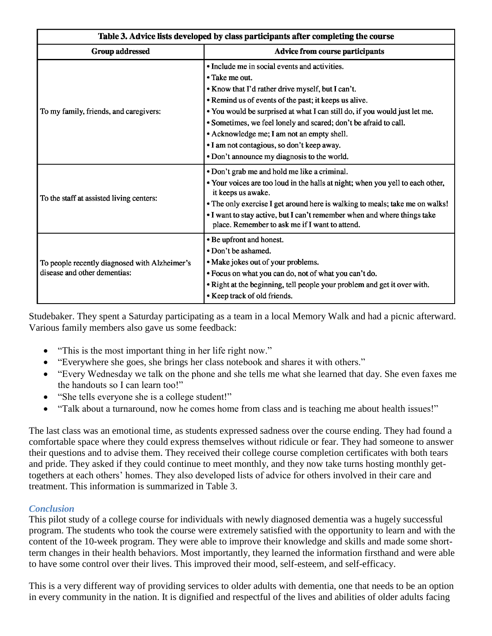| Table 3. Advice lists developed by class participants after completing the course |                                                                                                      |  |  |
|-----------------------------------------------------------------------------------|------------------------------------------------------------------------------------------------------|--|--|
| <b>Group addressed</b>                                                            | <b>Advice from course participants</b>                                                               |  |  |
|                                                                                   | • Include me in social events and activities.                                                        |  |  |
|                                                                                   | • Take me out.                                                                                       |  |  |
|                                                                                   | • Know that I'd rather drive myself, but I can't.                                                    |  |  |
|                                                                                   | • Remind us of events of the past; it keeps us alive.                                                |  |  |
| To my family, friends, and caregivers:                                            | • You would be surprised at what I can still do, if you would just let me.                           |  |  |
|                                                                                   | • Sometimes, we feel lonely and scared; don't be afraid to call.                                     |  |  |
|                                                                                   | • Acknowledge me; I am not an empty shell.                                                           |  |  |
|                                                                                   | • I am not contagious, so don't keep away.                                                           |  |  |
|                                                                                   | • Don't announce my diagnosis to the world.                                                          |  |  |
|                                                                                   | • Don't grab me and hold me like a criminal.                                                         |  |  |
|                                                                                   | • Your voices are too loud in the halls at night; when you yell to each other,<br>it keeps us awake. |  |  |
| To the staff at assisted living centers:                                          | • The only exercise I get around here is walking to meals; take me on walks!                         |  |  |
|                                                                                   | • I want to stay active, but I can't remember when and where things take                             |  |  |
|                                                                                   | place. Remember to ask me if I want to attend.                                                       |  |  |
|                                                                                   | • Be upfront and honest.                                                                             |  |  |
|                                                                                   | • Don't be ashamed.                                                                                  |  |  |
| To people recently diagnosed with Alzheimer's                                     | • Make jokes out of your problems.                                                                   |  |  |
| disease and other dementias:                                                      | • Focus on what you can do, not of what you can't do.                                                |  |  |
|                                                                                   | . Right at the beginning, tell people your problem and get it over with.                             |  |  |
|                                                                                   | • Keep track of old friends.                                                                         |  |  |

Studebaker. They spent a Saturday participating as a team in a local Memory Walk and had a picnic afterward. Various family members also gave us some feedback:

- "This is the most important thing in her life right now."
- "Everywhere she goes, she brings her class notebook and shares it with others."
- "Every Wednesday we talk on the phone and she tells me what she learned that day. She even faxes me the handouts so I can learn too!"
- "She tells everyone she is a college student!"
- "Talk about a turnaround, now he comes home from class and is teaching me about health issues!"

The last class was an emotional time, as students expressed sadness over the course ending. They had found a comfortable space where they could express themselves without ridicule or fear. They had someone to answer their questions and to advise them. They received their college course completion certificates with both tears and pride. They asked if they could continue to meet monthly, and they now take turns hosting monthly gettogethers at each others" homes. They also developed lists of advice for others involved in their care and treatment. This information is summarized in Table 3.

## *Conclusion*

This pilot study of a college course for individuals with newly diagnosed dementia was a hugely successful program. The students who took the course were extremely satisfied with the opportunity to learn and with the content of the 10-week program. They were able to improve their knowledge and skills and made some shortterm changes in their health behaviors. Most importantly, they learned the information firsthand and were able to have some control over their lives. This improved their mood, self-esteem, and self-efficacy.

This is a very different way of providing services to older adults with dementia, one that needs to be an option in every community in the nation. It is dignified and respectful of the lives and abilities of older adults facing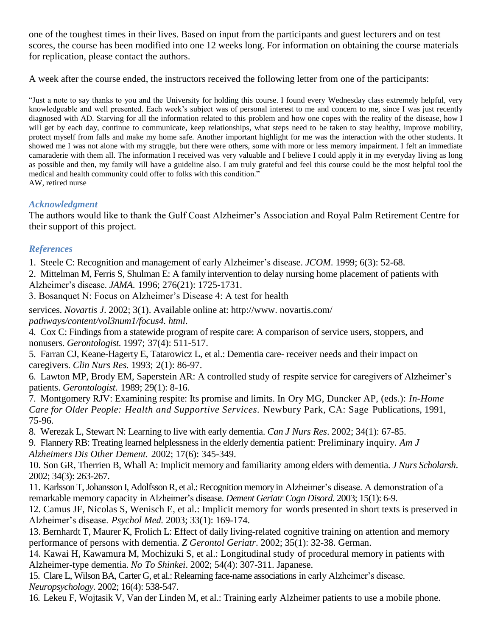one of the toughest times in their lives. Based on input from the participants and guest lecturers and on test scores, the course has been modified into one 12 weeks long. For information on obtaining the course materials for replication, please contact the authors.

A week after the course ended, the instructors received the following letter from one of the participants:

"Just a note to say thanks to you and the University for holding this course. I found every Wednesday class extremely helpful, very knowledgeable and well presented. Each week's subject was of personal interest to me and concern to me, since I was just recently diagnosed with AD. Starving for all the information related to this problem and how one copes with the reality of the disease, how I will get by each day, continue to communicate, keep relationships, what steps need to be taken to stay healthy, improve mobility, protect myself from falls and make my home safe. Another important highlight for me was the interaction with the other students. It showed me I was not alone with my struggle, but there were others, some with more or less memory impairment. I felt an immediate camaraderie with them all. The information I received was very valuable and I believe I could apply it in my everyday living as long as possible and then, my family will have a guideline also. I am truly grateful and feel this course could be the most helpful tool the medical and health community could offer to folks with this condition." AW, retired nurse

## *Acknowledgment*

The authors would like to thank the Gulf Coast Alzheimer"s Association and Royal Palm Retirement Centre for their support of this project.

# *References*

1. Steele C: Recognition and management of early Alzheimer"s disease. *JCOM*. 1999; 6(3): 52-68.

2. Mittelman M, Ferris S, Shulman E: A family intervention to delay nursing home placement of patients with Alzheimer"s disease. *JAMA*. 1996; 276(21): 1725-1731.

3. Bosanquet N: Focus on Alzheimer"s Disease 4: A test for health

services. *Novartis J*. 2002; 3(1). Available online at: http://www. novartis.com/ *pathways/content/vol3num1/focus4. html*.

4. Cox C: Findings from a statewide program of respite care: A comparison of service users, stoppers, and nonusers. *Gerontologist.* 1997; 37(4): 511-517.

5. Farran CJ, Keane-Hagerty E, Tatarowicz L, et al.: Dementia care- receiver needs and their impact on caregivers. *Clin Nurs Res.* 1993; 2(1): 86-97.

6. Lawton MP, Brody EM, Saperstein AR: A controlled study of respite service for caregivers of Alzheimer"s patients. *Gerontologist*. 1989; 29(1): 8-16.

7. Montgomery RJV: Examining respite: Its promise and limits. In Ory MG, Duncker AP, (eds.): *In-Home Care for Older People: Health and Supportive Services.* Newbury Park, CA: Sage Publications, 1991, 75-96.

8. Werezak L, Stewart N: Learning to live with early dementia. *Can J Nurs Res*. 2002; 34(1): 67-85.

9. Flannery RB: Treating learned helplessness in the elderly dementia patient: Preliminary inquiry. *Am J Alzheimers Dis Other Dement.* 2002; 17(6): 345-349.

10. Son GR, Therrien B, Whall A: Implicit memory and familiarity among elders with dementia. *J Nurs Scholarsh*. 2002; 34(3): 263-267.

11. Karlsson T, Johansson I, Adolfsson R, et al.: Recognition memory in Alzheimer"s disease. A demonstration of a remarkable memory capacity in Alzheimer"s disease. *Dement Geriatr Cogn Disord*. 2003; 15(1): 6-9.

12. Camus JF, Nicolas S, Wenisch E, et al.: Implicit memory for words presented in short texts is preserved in Alzheimer"s disease. *Psychol Med.* 2003; 33(1): 169-174.

13. Bernhardt T, Maurer K, Frolich L: Effect of daily living-related cognitive training on attention and memory performance of persons with dementia. *Z Gerontol Geriatr*. 2002; 35(1): 32-38. German.

14. Kawai H, Kawamura M, Mochizuki S, et al.: Longitudinal study of procedural memory in patients with Alzheimer-type dementia. *No To Shinkei*. 2002; 54(4): 307-311. Japanese.

15. Clare L, Wilson BA, Carter G, et al.: Relearning face-name associations in early Alzheimer"s disease. *Neuropsychology.* 2002; 16(4): 538-547.

16. Lekeu F, Wojtasik V, Van der Linden M, et al.: Training early Alzheimer patients to use a mobile phone.